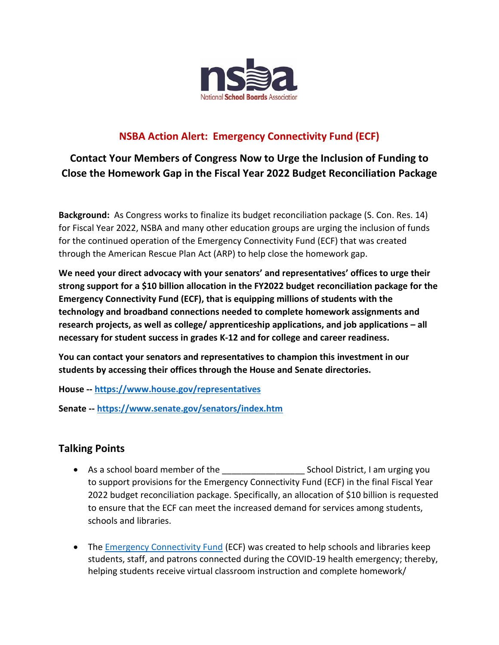

## **NSBA Action Alert: Emergency Connectivity Fund (ECF)**

**Contact Your Members of Congress Now to Urge the Inclusion of Funding to Close the Homework Gap in the Fiscal Year 2022 Budget Reconciliation Package**

**Background:** As Congress works to finalize its budget reconciliation package (S. Con. Res. 14) for Fiscal Year 2022, NSBA and many other education groups are urging the inclusion of funds for the continued operation of the Emergency Connectivity Fund (ECF) that was created through the American Rescue Plan Act (ARP) to help close the homework gap.

**We need your direct advocacy with your senators' and representatives' offices to urge their strong support for a \$10 billion allocation in the FY2022 budget reconciliation package for the Emergency Connectivity Fund (ECF), that is equipping millions of students with the technology and broadband connections needed to complete homework assignments and research projects, as well as college/ apprenticeship applications, and job applications – all necessary for student success in grades K-12 and for college and career readiness.**

**You can contact your senators and representatives to champion this investment in our students by accessing their offices through the House and Senate directories.**

**House -- <https://www.house.gov/representatives>**

**Senate -- <https://www.senate.gov/senators/index.htm>**

## **Talking Points**

- As a school board member of the \_\_\_\_\_\_\_\_\_\_\_\_\_\_\_\_\_ School District, I am urging you to support provisions for the Emergency Connectivity Fund (ECF) in the final Fiscal Year 2022 budget reconciliation package. Specifically, an allocation of \$10 billion is requested to ensure that the ECF can meet the increased demand for services among students, schools and libraries.
- The [Emergency Connectivity Fund](https://www.emergencyconnectivityfund.org/) (ECF) was created to help schools and libraries keep students, staff, and patrons connected during the COVID-19 health emergency; thereby, helping students receive virtual classroom instruction and complete homework/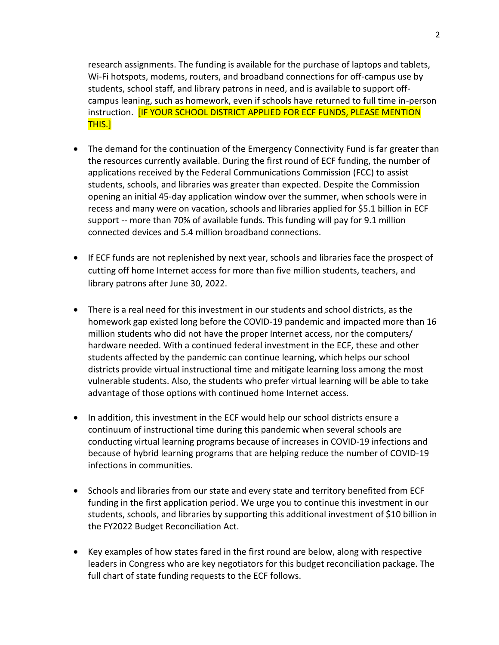research assignments. The funding is available for the purchase of laptops and tablets, Wi-Fi hotspots, modems, routers, and broadband connections for off-campus use by students, school staff, and library patrons in need, and is available to support offcampus leaning, such as homework, even if schools have returned to full time in-person instruction. [IF YOUR SCHOOL DISTRICT APPLIED FOR ECF FUNDS, PLEASE MENTION THIS.]

- The demand for the continuation of the Emergency Connectivity Fund is far greater than the resources currently available. During the first round of ECF funding, the number of applications received by the Federal Communications Commission (FCC) to assist students, schools, and libraries was greater than expected. Despite the Commission opening an initial 45-day application window over the summer, when schools were in recess and many were on vacation, schools and libraries applied for \$5.1 billion in ECF support -- more than 70% of available funds. This funding will pay for 9.1 million connected devices and 5.4 million broadband connections.
- If ECF funds are not replenished by next year, schools and libraries face the prospect of cutting off home Internet access for more than five million students, teachers, and library patrons after June 30, 2022.
- There is a real need for this investment in our students and school districts, as the homework gap existed long before the COVID-19 pandemic and impacted more than 16 million students who did not have the proper Internet access, nor the computers/ hardware needed. With a continued federal investment in the ECF, these and other students affected by the pandemic can continue learning, which helps our school districts provide virtual instructional time and mitigate learning loss among the most vulnerable students. Also, the students who prefer virtual learning will be able to take advantage of those options with continued home Internet access.
- In addition, this investment in the ECF would help our school districts ensure a continuum of instructional time during this pandemic when several schools are conducting virtual learning programs because of increases in COVID-19 infections and because of hybrid learning programs that are helping reduce the number of COVID-19 infections in communities.
- Schools and libraries from our state and every state and territory benefited from ECF funding in the first application period. We urge you to continue this investment in our students, schools, and libraries by supporting this additional investment of \$10 billion in the FY2022 Budget Reconciliation Act.
- Key examples of how states fared in the first round are below, along with respective leaders in Congress who are key negotiators for this budget reconciliation package. The full chart of state funding requests to the ECF follows.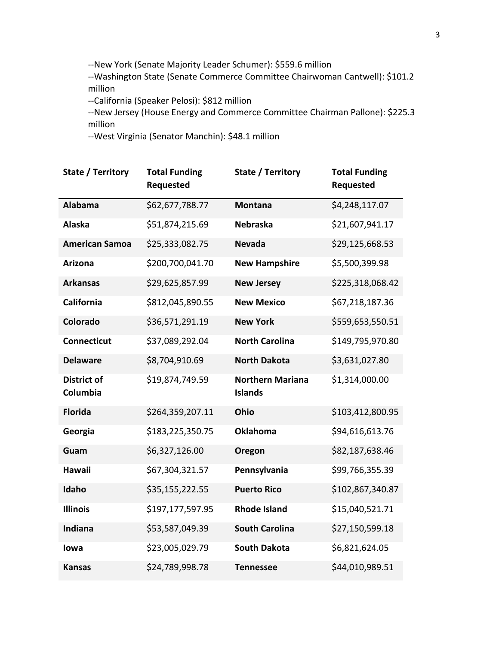--New York (Senate Majority Leader Schumer): \$559.6 million

--Washington State (Senate Commerce Committee Chairwoman Cantwell): \$101.2 million

--California (Speaker Pelosi): \$812 million

--New Jersey (House Energy and Commerce Committee Chairman Pallone): \$225.3 million

--West Virginia (Senator Manchin): \$48.1 million

| State / Territory              | <b>Total Funding</b><br>Requested | State / Territory                         | <b>Total Funding</b><br><b>Requested</b> |
|--------------------------------|-----------------------------------|-------------------------------------------|------------------------------------------|
| <b>Alabama</b>                 | \$62,677,788.77                   | <b>Montana</b>                            | \$4,248,117.07                           |
| <b>Alaska</b>                  | \$51,874,215.69                   | <b>Nebraska</b>                           | \$21,607,941.17                          |
| <b>American Samoa</b>          | \$25,333,082.75                   | <b>Nevada</b>                             | \$29,125,668.53                          |
| <b>Arizona</b>                 | \$200,700,041.70                  | <b>New Hampshire</b>                      | \$5,500,399.98                           |
| <b>Arkansas</b>                | \$29,625,857.99                   | <b>New Jersey</b>                         | \$225,318,068.42                         |
| California                     | \$812,045,890.55                  | <b>New Mexico</b>                         | \$67,218,187.36                          |
| Colorado                       | \$36,571,291.19                   | <b>New York</b>                           | \$559,653,550.51                         |
| <b>Connecticut</b>             | \$37,089,292.04                   | <b>North Carolina</b>                     | \$149,795,970.80                         |
| <b>Delaware</b>                | \$8,704,910.69                    | <b>North Dakota</b>                       | \$3,631,027.80                           |
| <b>District of</b><br>Columbia | \$19,874,749.59                   | <b>Northern Mariana</b><br><b>Islands</b> | \$1,314,000.00                           |
| <b>Florida</b>                 | \$264,359,207.11                  | Ohio                                      | \$103,412,800.95                         |
| Georgia                        | \$183,225,350.75                  | <b>Oklahoma</b>                           | \$94,616,613.76                          |
| Guam                           | \$6,327,126.00                    | Oregon                                    | \$82,187,638.46                          |
| <b>Hawaii</b>                  | \$67,304,321.57                   | Pennsylvania                              | \$99,766,355.39                          |
| Idaho                          | \$35,155,222.55                   | <b>Puerto Rico</b>                        | \$102,867,340.87                         |
| <b>Illinois</b>                | \$197,177,597.95                  | <b>Rhode Island</b>                       | \$15,040,521.71                          |
| Indiana                        | \$53,587,049.39                   | <b>South Carolina</b>                     | \$27,150,599.18                          |
| lowa                           | \$23,005,029.79                   | <b>South Dakota</b>                       | \$6,821,624.05                           |
| <b>Kansas</b>                  | \$24,789,998.78                   | <b>Tennessee</b>                          | \$44,010,989.51                          |